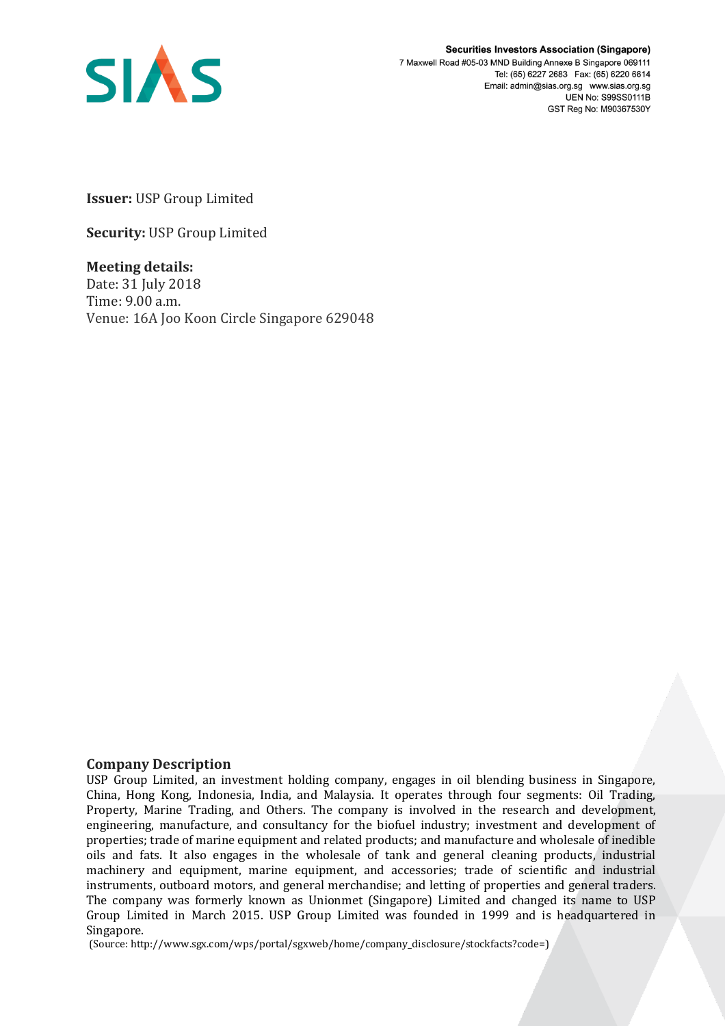

**Securities Investors Association (Singapore)** 7 Maxwell Road #05-03 MND Building Annexe B Singapore 069111 Tel: (65) 6227 2683 Fax: (65) 6220 6614 Email: admin@sias.org.sg www.sias.org.sg **UEN No: S99SS0111B** GST Reg No: M90367530Y

**Issuer:** USP Group Limited

**Security:** USP Group Limited

**Meeting details:**  Date: 31 July 2018 Time: 9.00 a.m. Venue: 16A Joo Koon Circle Singapore 629048

## **Company Description**

USP Group Limited, an investment holding company, engages in oil blending business in Singapore, China, Hong Kong, Indonesia, India, and Malaysia. It operates through four segments: Oil Trading, Property, Marine Trading, and Others. The company is involved in the research and development, engineering, manufacture, and consultancy for the biofuel industry; investment and development of properties; trade of marine equipment and related products; and manufacture and wholesale of inedible oils and fats. It also engages in the wholesale of tank and general cleaning products, industrial machinery and equipment, marine equipment, and accessories; trade of scientific and industrial instruments, outboard motors, and general merchandise; and letting of properties and general traders. The company was formerly known as Unionmet (Singapore) Limited and changed its name to USP Group Limited in March 2015. USP Group Limited was founded in 1999 and is headquartered in Singapore.

(Source: http://www.sgx.com/wps/portal/sgxweb/home/company\_disclosure/stockfacts?code=)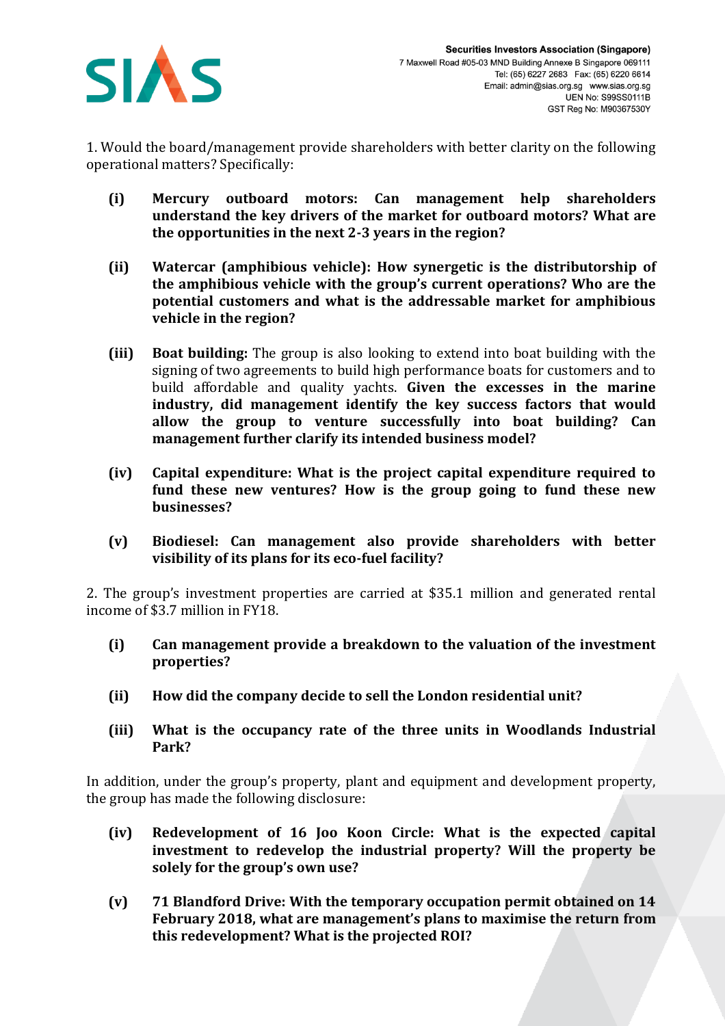

1. Would the board/management provide shareholders with better clarity on the following operational matters? Specifically:

- **(i) Mercury outboard motors: Can management help shareholders understand the key drivers of the market for outboard motors? What are the opportunities in the next 2-3 years in the region?**
- **(ii) Watercar (amphibious vehicle): How synergetic is the distributorship of the amphibious vehicle with the group's current operations? Who are the potential customers and what is the addressable market for amphibious vehicle in the region?**
- **(iii) Boat building:** The group is also looking to extend into boat building with the signing of two agreements to build high performance boats for customers and to build affordable and quality yachts. **Given the excesses in the marine industry, did management identify the key success factors that would allow the group to venture successfully into boat building? Can management further clarify its intended business model?**
- **(iv) Capital expenditure: What is the project capital expenditure required to fund these new ventures? How is the group going to fund these new businesses?**
- **(v) Biodiesel: Can management also provide shareholders with better visibility of its plans for its eco-fuel facility?**

2. The group's investment properties are carried at \$35.1 million and generated rental income of \$3.7 million in FY18.

- **(i) Can management provide a breakdown to the valuation of the investment properties?**
- **(ii) How did the company decide to sell the London residential unit?**
- **(iii) What is the occupancy rate of the three units in Woodlands Industrial Park?**

In addition, under the group's property, plant and equipment and development property, the group has made the following disclosure:

- **(iv) Redevelopment of 16 Joo Koon Circle: What is the expected capital investment to redevelop the industrial property? Will the property be solely for the group's own use?**
- **(v) 71 Blandford Drive: With the temporary occupation permit obtained on 14 February 2018, what are management's plans to maximise the return from this redevelopment? What is the projected ROI?**